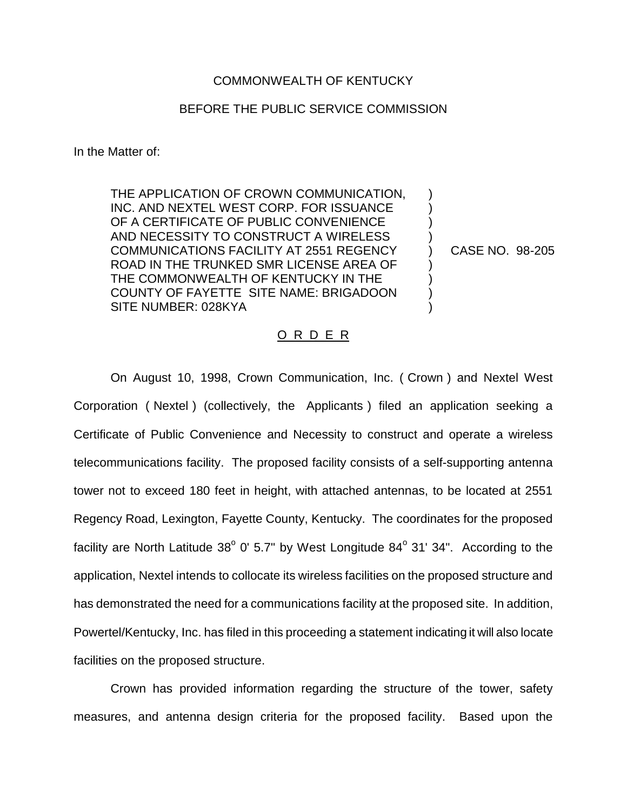## COMMONWEALTH OF KENTUCKY

## BEFORE THE PUBLIC SERVICE COMMISSION

In the Matter of:

THE APPLICATION OF CROWN COMMUNICATION, INC. AND NEXTEL WEST CORP. FOR ISSUANCE OF A CERTIFICATE OF PUBLIC CONVENIENCE AND NECESSITY TO CONSTRUCT A WIRELESS COMMUNICATIONS FACILITY AT 2551 REGENCY ROAD IN THE TRUNKED SMR LICENSE AREA OF THE COMMONWEALTH OF KENTUCKY IN THE COUNTY OF FAYETTE SITE NAME: BRIGADOON SITE NUMBER: 028KYA

CASE NO. 98-205

) ) ) ) ) ) ) ) )

## O R D E R

On August 10, 1998, Crown Communication, Inc. ( Crown ) and Nextel West Corporation ( Nextel ) (collectively, the Applicants ) filed an application seeking a Certificate of Public Convenience and Necessity to construct and operate a wireless telecommunications facility. The proposed facility consists of a self-supporting antenna tower not to exceed 180 feet in height, with attached antennas, to be located at 2551 Regency Road, Lexington, Fayette County, Kentucky. The coordinates for the proposed facility are North Latitude  $38^{\circ}$  0' 5.7" by West Longitude  $84^{\circ}$  31' 34". According to the application, Nextel intends to collocate its wireless facilities on the proposed structure and has demonstrated the need for a communications facility at the proposed site. In addition, Powertel/Kentucky, Inc. has filed in this proceeding a statement indicating it will also locate facilities on the proposed structure.

Crown has provided information regarding the structure of the tower, safety measures, and antenna design criteria for the proposed facility. Based upon the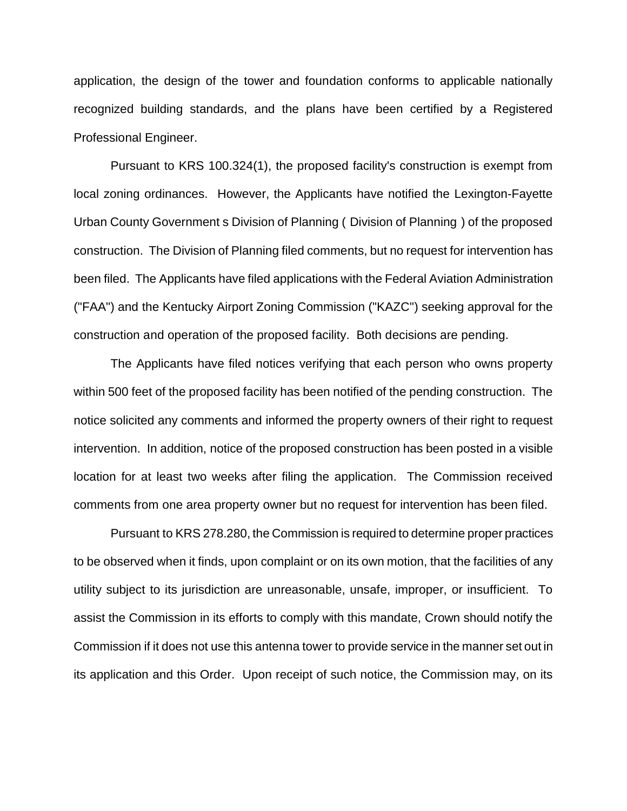application, the design of the tower and foundation conforms to applicable nationally recognized building standards, and the plans have been certified by a Registered Professional Engineer.

Pursuant to KRS 100.324(1), the proposed facility's construction is exempt from local zoning ordinances. However, the Applicants have notified the Lexington-Fayette Urban County Government s Division of Planning ( Division of Planning ) of the proposed construction. The Division of Planning filed comments, but no request for intervention has been filed. The Applicants have filed applications with the Federal Aviation Administration ("FAA") and the Kentucky Airport Zoning Commission ("KAZC") seeking approval for the construction and operation of the proposed facility. Both decisions are pending.

The Applicants have filed notices verifying that each person who owns property within 500 feet of the proposed facility has been notified of the pending construction. The notice solicited any comments and informed the property owners of their right to request intervention. In addition, notice of the proposed construction has been posted in a visible location for at least two weeks after filing the application. The Commission received comments from one area property owner but no request for intervention has been filed.

Pursuant to KRS 278.280, the Commission is required to determine proper practices to be observed when it finds, upon complaint or on its own motion, that the facilities of any utility subject to its jurisdiction are unreasonable, unsafe, improper, or insufficient. To assist the Commission in its efforts to comply with this mandate, Crown should notify the Commission if it does not use this antenna tower to provide service in the manner set out in its application and this Order. Upon receipt of such notice, the Commission may, on its